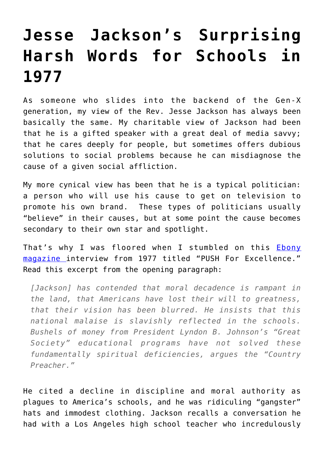## **[Jesse Jackson's Surprising](https://intellectualtakeout.org/2016/04/jesse-jacksons-surprising-harsh-words-for-schools-in-1977/) [Harsh Words for Schools in](https://intellectualtakeout.org/2016/04/jesse-jacksons-surprising-harsh-words-for-schools-in-1977/) [1977](https://intellectualtakeout.org/2016/04/jesse-jacksons-surprising-harsh-words-for-schools-in-1977/)**

As someone who slides into the backend of the Gen-X generation, my view of the Rev. Jesse Jackson has always been basically the same. My charitable view of Jackson had been that he is a gifted speaker with a great deal of media savvy; that he cares deeply for people, but sometimes offers dubious solutions to social problems because he can misdiagnose the cause of a given social affliction.

My more cynical view has been that he is a typical politician: a person who will use his cause to get on television to promote his own brand. These types of politicians usually "believe" in their causes, but at some point the cause becomes secondary to their own star and spotlight.

That's why I was floored when I stumbled on this **[Ebony](https://books.google.com/books?id=AM4DAAAAMBAJ&pg=PA104&lpg=PA104&dq=walking+down+the+halls+with+their+eyes+red+from+marijuana,+minds+empty+and+foggy&source=bl&ots=goeFeb7TkT&sig=kV1DGeSDmitPA4qsLsHM83MJRMM&hl=en&sa=X&ved=0ahUKEwi0tLjd66nMAhWJqx4KHaBbCLoQ6AEIIDAA#v=onepage&q&f=false)** [magazine i](https://books.google.com/books?id=AM4DAAAAMBAJ&pg=PA104&lpg=PA104&dq=walking+down+the+halls+with+their+eyes+red+from+marijuana,+minds+empty+and+foggy&source=bl&ots=goeFeb7TkT&sig=kV1DGeSDmitPA4qsLsHM83MJRMM&hl=en&sa=X&ved=0ahUKEwi0tLjd66nMAhWJqx4KHaBbCLoQ6AEIIDAA#v=onepage&q&f=false)nterview from 1977 titled "PUSH For Excellence." Read this excerpt from the opening paragraph:

*[Jackson] has contended that moral decadence is rampant in the land, that Americans have lost their will to greatness, that their vision has been blurred. He insists that this national malaise is slavishly reflected in the schools. Bushels of money from President Lyndon B. Johnson's "Great Society" educational programs have not solved these fundamentally spiritual deficiencies, argues the "Country Preacher."*

He cited a decline in discipline and moral authority as plagues to America's schools, and he was ridiculing "gangster" hats and immodest clothing. Jackson recalls a conversation he had with a Los Angeles high school teacher who incredulously